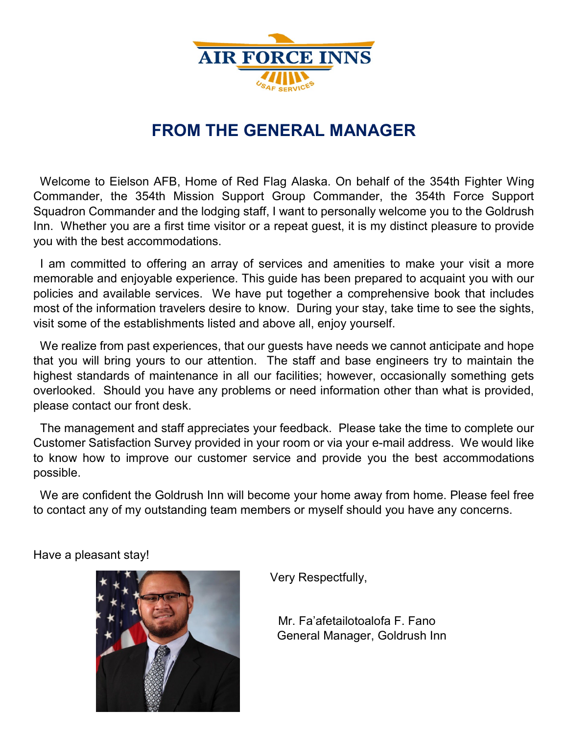

# **FROM THE GENERAL MANAGER**

 Welcome to Eielson AFB, Home of Red Flag Alaska. On behalf of the 354th Fighter Wing Commander, the 354th Mission Support Group Commander, the 354th Force Support Squadron Commander and the lodging staff, I want to personally welcome you to the Goldrush Inn. Whether you are a first time visitor or a repeat guest, it is my distinct pleasure to provide you with the best accommodations.

 I am committed to offering an array of services and amenities to make your visit a more memorable and enjoyable experience. This guide has been prepared to acquaint you with our policies and available services. We have put together a comprehensive book that includes most of the information travelers desire to know. During your stay, take time to see the sights, visit some of the establishments listed and above all, enjoy yourself.

 We realize from past experiences, that our guests have needs we cannot anticipate and hope that you will bring yours to our attention. The staff and base engineers try to maintain the highest standards of maintenance in all our facilities; however, occasionally something gets overlooked. Should you have any problems or need information other than what is provided, please contact our front desk.

 The management and staff appreciates your feedback. Please take the time to complete our Customer Satisfaction Survey provided in your room or via your e-mail address. We would like to know how to improve our customer service and provide you the best accommodations possible.

 We are confident the Goldrush Inn will become your home away from home. Please feel free to contact any of my outstanding team members or myself should you have any concerns.

Have a pleasant stay!



Very Respectfully,

 Mr. Fa'afetailotoalofa F. Fano General Manager, Goldrush Inn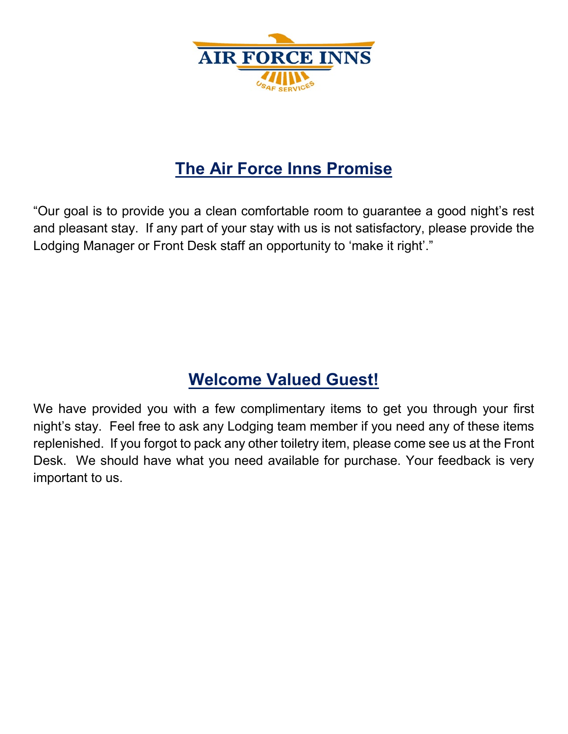

# **The Air Force Inns Promise**

"Our goal is to provide you a clean comfortable room to guarantee a good night's rest and pleasant stay. If any part of your stay with us is not satisfactory, please provide the Lodging Manager or Front Desk staff an opportunity to 'make it right'."

# **Welcome Valued Guest!**

We have provided you with a few complimentary items to get you through your first night's stay. Feel free to ask any Lodging team member if you need any of these items replenished. If you forgot to pack any other toiletry item, please come see us at the Front Desk. We should have what you need available for purchase. Your feedback is very important to us.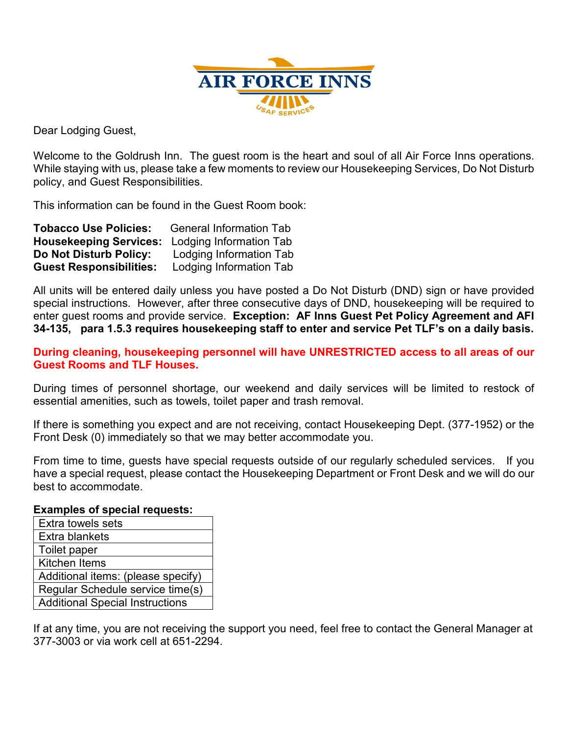

Dear Lodging Guest,

Welcome to the Goldrush Inn. The guest room is the heart and soul of all Air Force Inns operations. While staying with us, please take a few moments to review our Housekeeping Services, Do Not Disturb policy, and Guest Responsibilities.

This information can be found in the Guest Room book:

| <b>Tobacco Use Policies:</b>   | <b>General Information Tab</b> |
|--------------------------------|--------------------------------|
| <b>Housekeeping Services:</b>  | Lodging Information Tab        |
| <b>Do Not Disturb Policy:</b>  | Lodging Information Tab        |
| <b>Guest Responsibilities:</b> | Lodging Information Tab        |

All units will be entered daily unless you have posted a Do Not Disturb (DND) sign or have provided special instructions. However, after three consecutive days of DND, housekeeping will be required to enter guest rooms and provide service. **Exception: AF Inns Guest Pet Policy Agreement and AFI 34-135, para 1.5.3 requires housekeeping staff to enter and service Pet TLF's on a daily basis.**

**During cleaning, housekeeping personnel will have UNRESTRICTED access to all areas of our Guest Rooms and TLF Houses.** 

During times of personnel shortage, our weekend and daily services will be limited to restock of essential amenities, such as towels, toilet paper and trash removal.

If there is something you expect and are not receiving, contact Housekeeping Dept. (377-1952) or the Front Desk (0) immediately so that we may better accommodate you.

From time to time, guests have special requests outside of our regularly scheduled services. If you have a special request, please contact the Housekeeping Department or Front Desk and we will do our best to accommodate.

#### **Examples of special requests:**

| Extra towels sets                      |
|----------------------------------------|
| Extra blankets                         |
| Toilet paper                           |
| <b>Kitchen Items</b>                   |
| Additional items: (please specify)     |
| Regular Schedule service time(s)       |
| <b>Additional Special Instructions</b> |

If at any time, you are not receiving the support you need, feel free to contact the General Manager at 377-3003 or via work cell at 651-2294.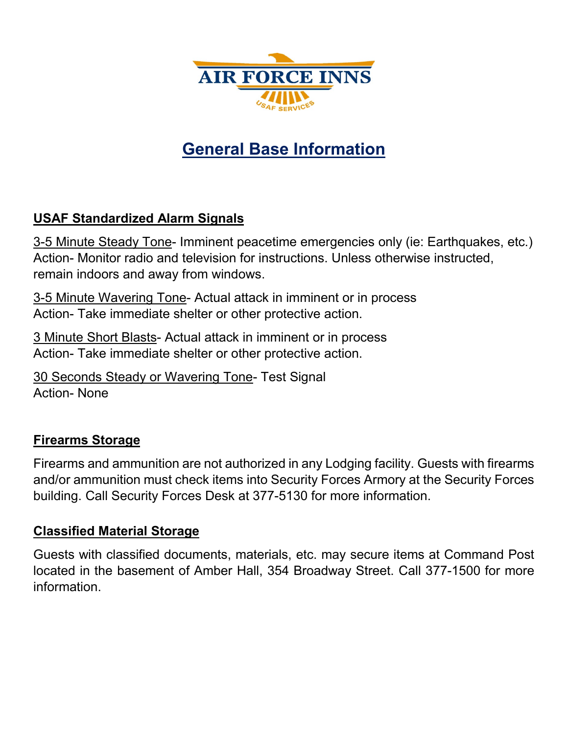

# **General Base Information**

# **USAF Standardized Alarm Signals**

3-5 Minute Steady Tone- Imminent peacetime emergencies only (ie: Earthquakes, etc.) Action- Monitor radio and television for instructions. Unless otherwise instructed, remain indoors and away from windows.

3-5 Minute Wavering Tone- Actual attack in imminent or in process Action- Take immediate shelter or other protective action.

3 Minute Short Blasts- Actual attack in imminent or in process Action- Take immediate shelter or other protective action.

30 Seconds Steady or Wavering Tone- Test Signal Action- None

# **Firearms Storage**

Firearms and ammunition are not authorized in any Lodging facility. Guests with firearms and/or ammunition must check items into Security Forces Armory at the Security Forces building. Call Security Forces Desk at 377-5130 for more information.

#### **Classified Material Storage**

Guests with classified documents, materials, etc. may secure items at Command Post located in the basement of Amber Hall, 354 Broadway Street. Call 377-1500 for more information.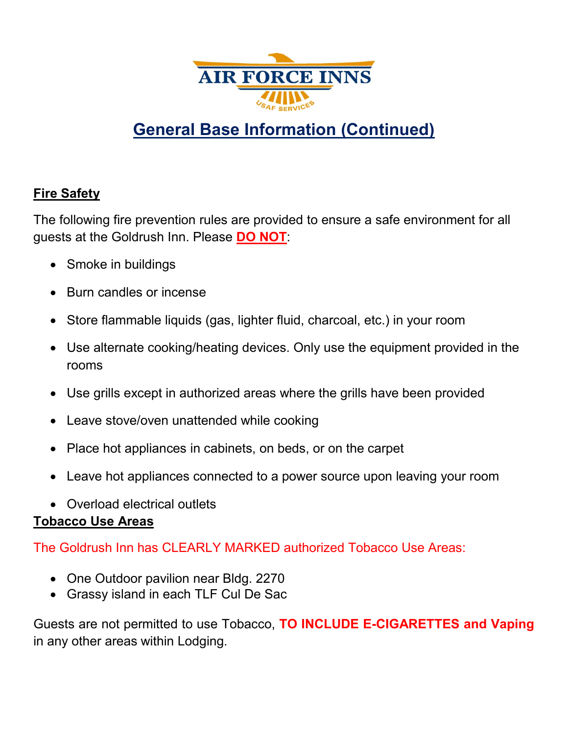

# **General Base Information (Continued)**

# **Fire Safety**

The following fire prevention rules are provided to ensure a safe environment for all guests at the Goldrush Inn. Please **DO NOT**:

- Smoke in buildings
- Burn candles or incense
- Store flammable liquids (gas, lighter fluid, charcoal, etc.) in your room
- Use alternate cooking/heating devices. Only use the equipment provided in the rooms
- Use grills except in authorized areas where the grills have been provided
- Leave stove/oven unattended while cooking
- Place hot appliances in cabinets, on beds, or on the carpet
- Leave hot appliances connected to a power source upon leaving your room
- Overload electrical outlets

# **Tobacco Use Areas**

The Goldrush Inn has CLEARLY MARKED authorized Tobacco Use Areas:

- One Outdoor pavilion near Bldg. 2270
- Grassy island in each TLF Cul De Sac

Guests are not permitted to use Tobacco, **TO INCLUDE E-CIGARETTES and Vaping**  in any other areas within Lodging.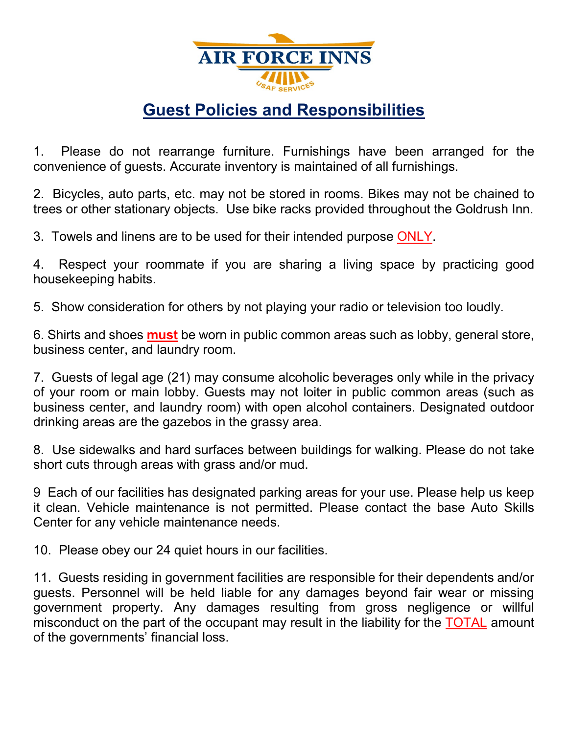

# **Guest Policies and Responsibilities**

1. Please do not rearrange furniture. Furnishings have been arranged for the convenience of guests. Accurate inventory is maintained of all furnishings.

2. Bicycles, auto parts, etc. may not be stored in rooms. Bikes may not be chained to trees or other stationary objects. Use bike racks provided throughout the Goldrush Inn.

3. Towels and linens are to be used for their intended purpose ONLY.

4. Respect your roommate if you are sharing a living space by practicing good housekeeping habits.

5. Show consideration for others by not playing your radio or television too loudly.

6. Shirts and shoes **must** be worn in public common areas such as lobby, general store, business center, and laundry room.

7. Guests of legal age (21) may consume alcoholic beverages only while in the privacy of your room or main lobby. Guests may not loiter in public common areas (such as business center, and laundry room) with open alcohol containers. Designated outdoor drinking areas are the gazebos in the grassy area.

8. Use sidewalks and hard surfaces between buildings for walking. Please do not take short cuts through areas with grass and/or mud.

9 Each of our facilities has designated parking areas for your use. Please help us keep it clean. Vehicle maintenance is not permitted. Please contact the base Auto Skills Center for any vehicle maintenance needs.

10. Please obey our 24 quiet hours in our facilities.

11. Guests residing in government facilities are responsible for their dependents and/or guests. Personnel will be held liable for any damages beyond fair wear or missing government property. Any damages resulting from gross negligence or willful misconduct on the part of the occupant may result in the liability for the TOTAL amount of the governments' financial loss.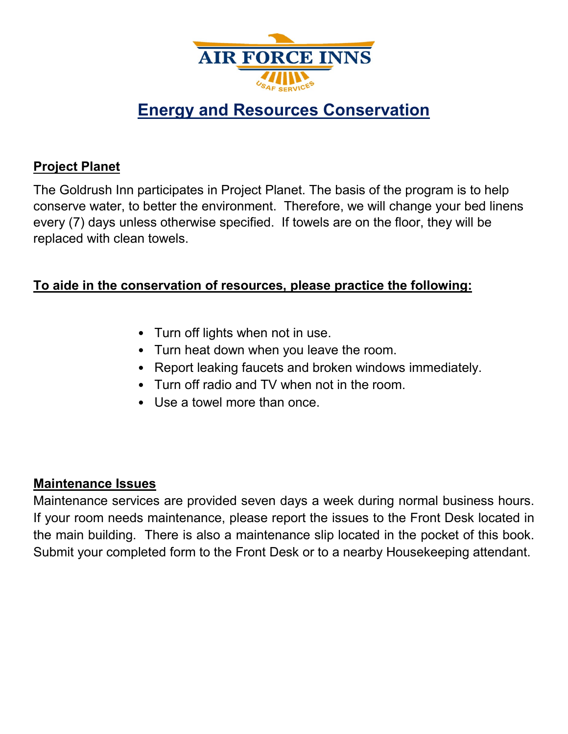

# **Energy and Resources Conservation**

# **Project Planet**

The Goldrush Inn participates in Project Planet. The basis of the program is to help conserve water, to better the environment. Therefore, we will change your bed linens every (7) days unless otherwise specified. If towels are on the floor, they will be replaced with clean towels.

# **To aide in the conservation of resources, please practice the following:**

- Turn off lights when not in use.
- Turn heat down when you leave the room.
- Report leaking faucets and broken windows immediately.
- Turn off radio and TV when not in the room.
- Use a towel more than once.

# **Maintenance Issues**

Maintenance services are provided seven days a week during normal business hours. If your room needs maintenance, please report the issues to the Front Desk located in the main building. There is also a maintenance slip located in the pocket of this book. Submit your completed form to the Front Desk or to a nearby Housekeeping attendant.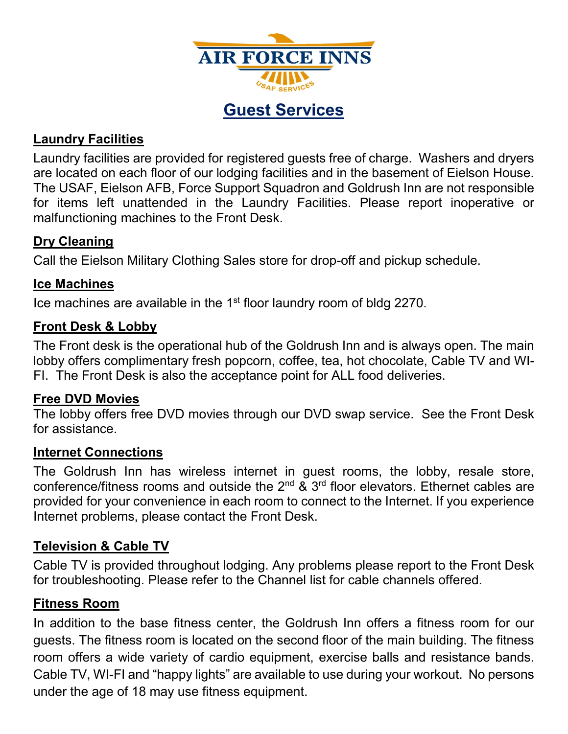

**Guest Services**

# **Laundry Facilities**

Laundry facilities are provided for registered guests free of charge. Washers and dryers are located on each floor of our lodging facilities and in the basement of Eielson House. The USAF, Eielson AFB, Force Support Squadron and Goldrush Inn are not responsible for items left unattended in the Laundry Facilities. Please report inoperative or malfunctioning machines to the Front Desk.

# **Dry Cleaning**

Call the Eielson Military Clothing Sales store for drop-off and pickup schedule.

# **Ice Machines**

Ice machines are available in the 1<sup>st</sup> floor laundry room of bldg 2270.

## **Front Desk & Lobby**

The Front desk is the operational hub of the Goldrush Inn and is always open. The main lobby offers complimentary fresh popcorn, coffee, tea, hot chocolate, Cable TV and WI-FI. The Front Desk is also the acceptance point for ALL food deliveries.

# **Free DVD Movies**

The lobby offers free DVD movies through our DVD swap service. See the Front Desk for assistance.

#### **Internet Connections**

The Goldrush Inn has wireless internet in guest rooms, the lobby, resale store, conference/fitness rooms and outside the  $2^{nd}$  &  $3^{rd}$  floor elevators. Ethernet cables are provided for your convenience in each room to connect to the Internet. If you experience Internet problems, please contact the Front Desk.

# **Television & Cable TV**

Cable TV is provided throughout lodging. Any problems please report to the Front Desk for troubleshooting. Please refer to the Channel list for cable channels offered.

# **Fitness Room**

In addition to the base fitness center, the Goldrush Inn offers a fitness room for our guests. The fitness room is located on the second floor of the main building. The fitness room offers a wide variety of cardio equipment, exercise balls and resistance bands. Cable TV, WI-FI and "happy lights" are available to use during your workout. No persons under the age of 18 may use fitness equipment.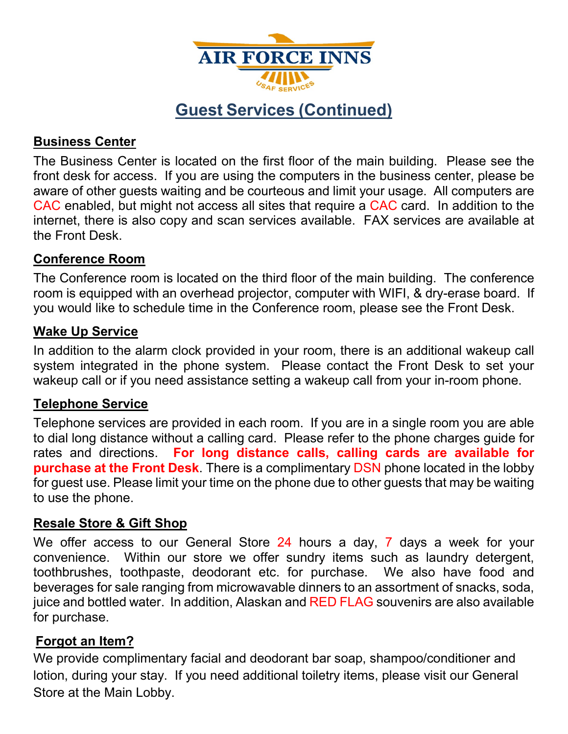

# **Guest Services (Continued)**

# **Business Center**

The Business Center is located on the first floor of the main building. Please see the front desk for access. If you are using the computers in the business center, please be aware of other guests waiting and be courteous and limit your usage. All computers are CAC enabled, but might not access all sites that require a CAC card. In addition to the internet, there is also copy and scan services available. FAX services are available at the Front Desk.

# **Conference Room**

The Conference room is located on the third floor of the main building. The conference room is equipped with an overhead projector, computer with WIFI, & dry-erase board. If you would like to schedule time in the Conference room, please see the Front Desk.

## **Wake Up Service**

In addition to the alarm clock provided in your room, there is an additional wakeup call system integrated in the phone system. Please contact the Front Desk to set your wakeup call or if you need assistance setting a wakeup call from your in-room phone.

#### **Telephone Service**

Telephone services are provided in each room. If you are in a single room you are able to dial long distance without a calling card. Please refer to the phone charges guide for rates and directions. **For long distance calls, calling cards are available for purchase at the Front Desk**. There is a complimentary DSN phone located in the lobby for guest use. Please limit your time on the phone due to other guests that may be waiting to use the phone.

# **Resale Store & Gift Shop**

We offer access to our General Store 24 hours a day, 7 days a week for your convenience. Within our store we offer sundry items such as laundry detergent, toothbrushes, toothpaste, deodorant etc. for purchase. We also have food and beverages for sale ranging from microwavable dinners to an assortment of snacks, soda, juice and bottled water. In addition, Alaskan and RED FLAG souvenirs are also available for purchase.

# **Forgot an Item?**

We provide complimentary facial and deodorant bar soap, shampoo/conditioner and lotion, during your stay. If you need additional toiletry items, please visit our General Store at the Main Lobby.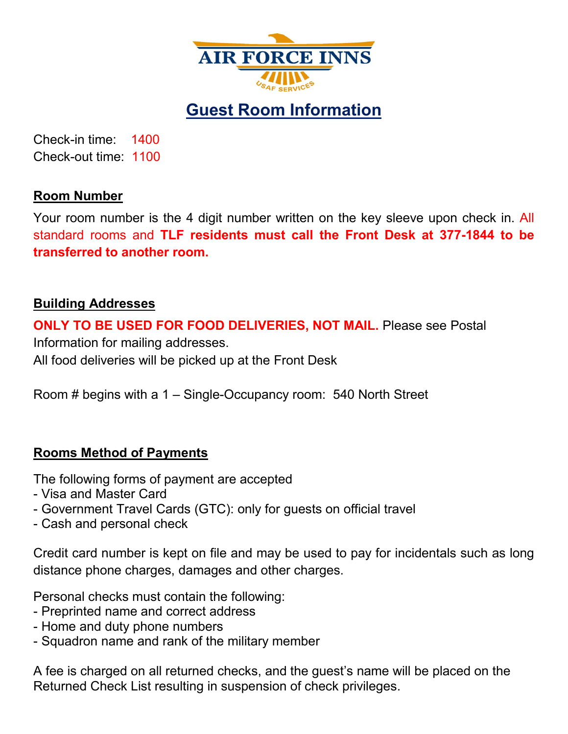

**Guest Room Information**

Check-in time: 1400 Check-out time: 1100

## **Room Number**

Your room number is the 4 digit number written on the key sleeve upon check in. All standard rooms and **TLF residents must call the Front Desk at 377-1844 to be transferred to another room.**

# **Building Addresses**

**ONLY TO BE USED FOR FOOD DELIVERIES, NOT MAIL.** Please see Postal Information for mailing addresses. All food deliveries will be picked up at the Front Desk

Room # begins with a 1 – Single-Occupancy room: 540 North Street

# **Rooms Method of Payments**

The following forms of payment are accepted

- Visa and Master Card
- Government Travel Cards (GTC): only for guests on official travel
- Cash and personal check

Credit card number is kept on file and may be used to pay for incidentals such as long distance phone charges, damages and other charges.

Personal checks must contain the following:

- Preprinted name and correct address
- Home and duty phone numbers
- Squadron name and rank of the military member

A fee is charged on all returned checks, and the guest's name will be placed on the Returned Check List resulting in suspension of check privileges.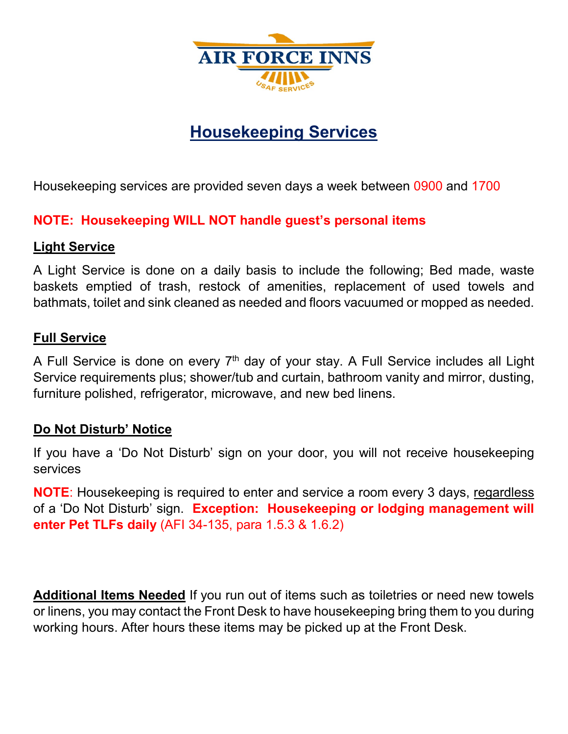

# **Housekeeping Services**

Housekeeping services are provided seven days a week between 0900 and 1700

# **NOTE: Housekeeping WILL NOT handle guest's personal items**

# **Light Service**

A Light Service is done on a daily basis to include the following; Bed made, waste baskets emptied of trash, restock of amenities, replacement of used towels and bathmats, toilet and sink cleaned as needed and floors vacuumed or mopped as needed.

## **Full Service**

A Full Service is done on every  $7<sup>th</sup>$  day of your stay. A Full Service includes all Light Service requirements plus; shower/tub and curtain, bathroom vanity and mirror, dusting, furniture polished, refrigerator, microwave, and new bed linens.

# **Do Not Disturb' Notice**

If you have a 'Do Not Disturb' sign on your door, you will not receive housekeeping services

**NOTE**: Housekeeping is required to enter and service a room every 3 days, regardless of a 'Do Not Disturb' sign. **Exception: Housekeeping or lodging management will enter Pet TLFs daily** (AFI 34-135, para 1.5.3 & 1.6.2)

**Additional Items Needed** If you run out of items such as toiletries or need new towels or linens, you may contact the Front Desk to have housekeeping bring them to you during working hours. After hours these items may be picked up at the Front Desk.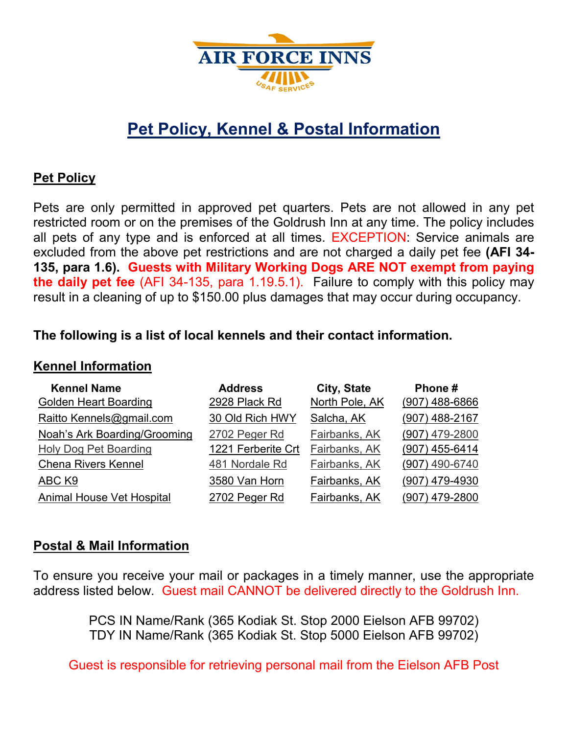

# **Pet Policy, Kennel & Postal Information**

#### **Pet Policy**

Pets are only permitted in approved pet quarters. Pets are not allowed in any pet restricted room or on the premises of the Goldrush Inn at any time. The policy includes all pets of any type and is enforced at all times. EXCEPTION: Service animals are excluded from the above pet restrictions and are not charged a daily pet fee **(AFI 34- 135, para 1.6). Guests with Military Working Dogs ARE NOT exempt from paying the daily pet fee** (AFI 34-135, para 1.19.5.1). Failure to comply with this policy may result in a cleaning of up to \$150.00 plus damages that may occur during occupancy.

## **The following is a list of local kennels and their contact information.**

#### **Kennel Information**

| <b>Kennel Name</b>                  | <b>Address</b>     | City, State    | Phone#           |
|-------------------------------------|--------------------|----------------|------------------|
| <b>Golden Heart Boarding</b>        | 2928 Plack Rd      | North Pole, AK | $(907)$ 488-6866 |
| Raitto Kennels@gmail.com            | 30 Old Rich HWY    | Salcha, AK     | (907) 488-2167   |
| <b>Noah's Ark Boarding/Grooming</b> | 2702 Peger Rd      | Fairbanks, AK  | (907) 479-2800   |
| <b>Holy Dog Pet Boarding</b>        | 1221 Ferberite Crt | Fairbanks, AK  | (907) 455-6414   |
| <b>Chena Rivers Kennel</b>          | 481 Nordale Rd     | Fairbanks, AK  | (907) 490-6740   |
| ABC K9                              | 3580 Van Horn      | Fairbanks, AK  | (907) 479-4930   |
| <b>Animal House Vet Hospital</b>    | 2702 Peger Rd      | Fairbanks, AK  | (907) 479-2800   |

#### **Postal & Mail Information**

To ensure you receive your mail or packages in a timely manner, use the appropriate address listed below. Guest mail CANNOT be delivered directly to the Goldrush Inn.

> PCS IN Name/Rank (365 Kodiak St. Stop 2000 Eielson AFB 99702) TDY IN Name/Rank (365 Kodiak St. Stop 5000 Eielson AFB 99702)

Guest is responsible for retrieving personal mail from the Eielson AFB Post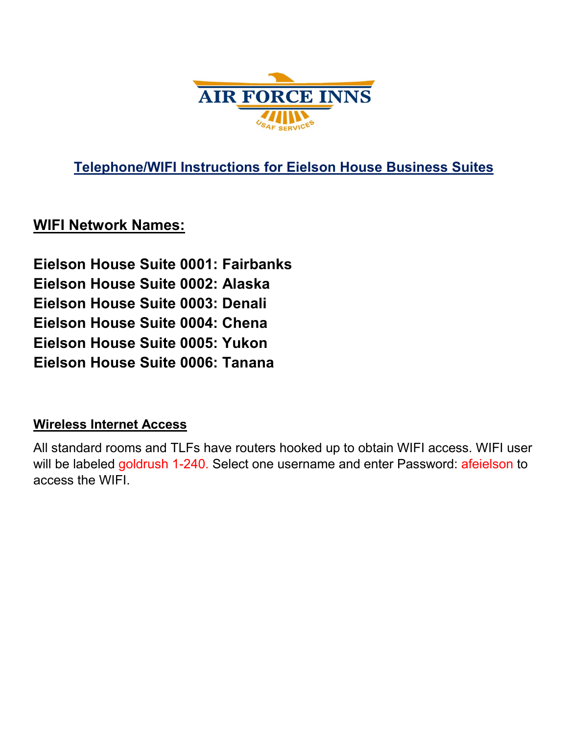

**Telephone/WIFI Instructions for Eielson House Business Suites**

# **WIFI Network Names:**

**Eielson House Suite 0001: Fairbanks Eielson House Suite 0002: Alaska Eielson House Suite 0003: Denali Eielson House Suite 0004: Chena Eielson House Suite 0005: Yukon Eielson House Suite 0006: Tanana** 

# **Wireless Internet Access**

All standard rooms and TLFs have routers hooked up to obtain WIFI access. WIFI user will be labeled goldrush 1-240. Select one username and enter Password: afeielson to access the WIFI.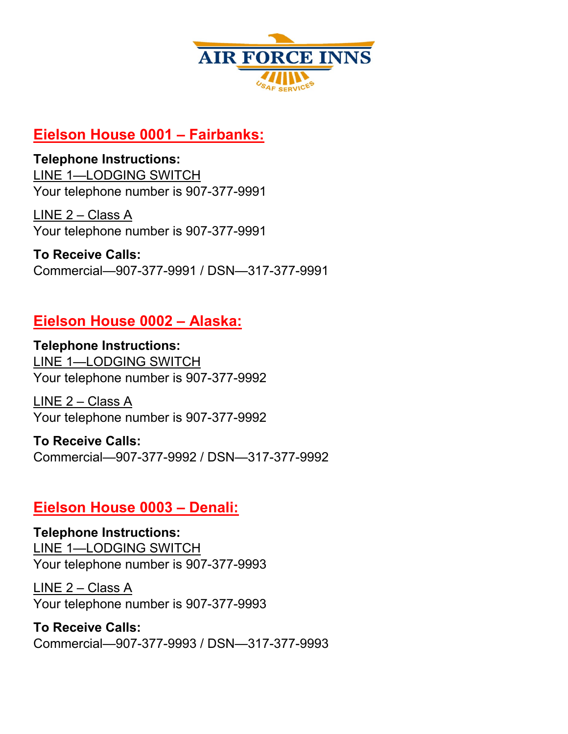

# **Eielson House 0001 – Fairbanks:**

# **Telephone Instructions:**

LINE 1—LODGING SWITCH Your telephone number is 907-377-9991

LINE 2 – Class A Your telephone number is 907-377-9991

**To Receive Calls:**  Commercial—907-377-9991 / DSN—317-377-9991

# **Eielson House 0002 – Alaska:**

**Telephone Instructions:**  LINE 1—LODGING SWITCH Your telephone number is 907-377-9992

LINE 2 – Class A Your telephone number is 907-377-9992

**To Receive Calls:**  Commercial—907-377-9992 / DSN—317-377-9992

# **Eielson House 0003 – Denali:**

**Telephone Instructions:**  LINE 1—LODGING SWITCH Your telephone number is 907-377-9993

LINE 2 – Class A Your telephone number is 907-377-9993

**To Receive Calls:**  Commercial—907-377-9993 / DSN—317-377-9993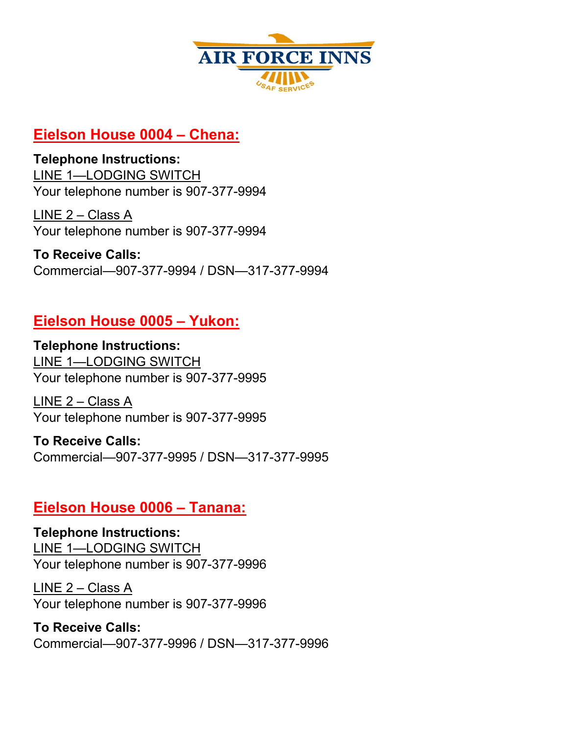

# **Eielson House 0004 – Chena:**

# **Telephone Instructions:**

LINE 1—LODGING SWITCH Your telephone number is 907-377-9994

LINE 2 – Class A Your telephone number is 907-377-9994

**To Receive Calls:**  Commercial—907-377-9994 / DSN—317-377-9994

# **Eielson House 0005 – Yukon:**

**Telephone Instructions:**  LINE 1—LODGING SWITCH Your telephone number is 907-377-9995

LINE 2 – Class A Your telephone number is 907-377-9995

**To Receive Calls:**  Commercial—907-377-9995 / DSN—317-377-9995

# **Eielson House 0006 – Tanana:**

**Telephone Instructions:**  LINE 1—LODGING SWITCH Your telephone number is 907-377-9996

LINE 2 – Class A Your telephone number is 907-377-9996

**To Receive Calls:**  Commercial—907-377-9996 / DSN—317-377-9996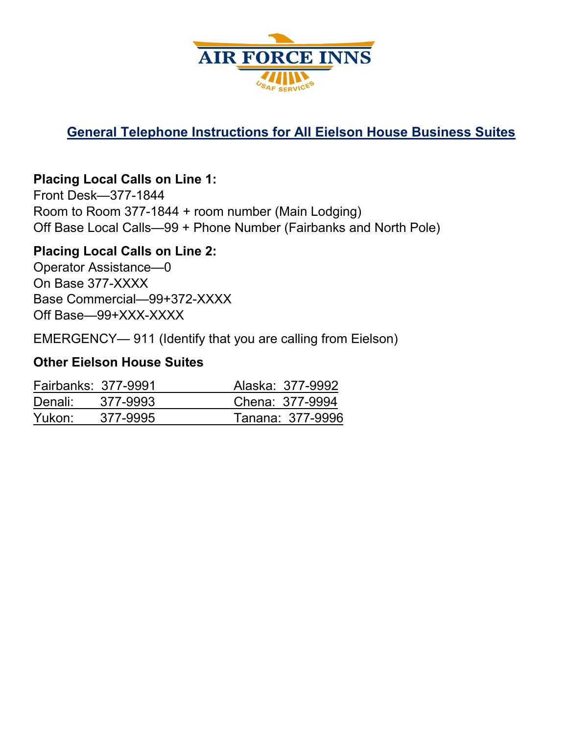

# **General Telephone Instructions for All Eielson House Business Suites**

# **Placing Local Calls on Line 1:**

Front Desk—377-1844 Room to Room 377-1844 + room number (Main Lodging) Off Base Local Calls—99 + Phone Number (Fairbanks and North Pole)

## **Placing Local Calls on Line 2:**

Operator Assistance—0 On Base 377-XXXX Base Commercial—99+372-XXXX Off Base—99+XXX-XXXX

EMERGENCY— 911 (Identify that you are calling from Eielson)

#### **Other Eielson House Suites**

| Fairbanks: 377-9991 |          | Alaska: 377-9992 |
|---------------------|----------|------------------|
| Denali:             | 377-9993 | Chena: 377-9994  |
| Yukon:              | 377-9995 | Tanana: 377-9996 |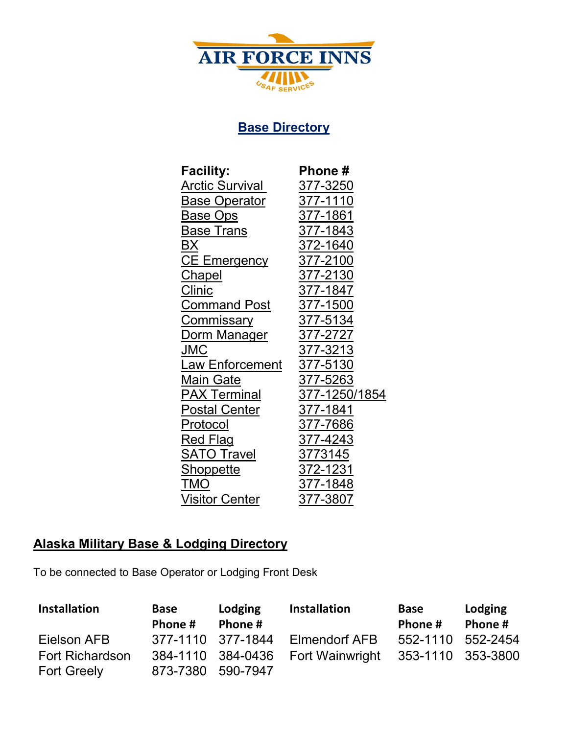

# **Base Directory**

| <b>Facility:</b>         | <b>Phone</b> #  |
|--------------------------|-----------------|
| <u> Arctic Survival </u> | <u>377-3250</u> |
| <u>Base Operator</u>     | 377-1110        |
| Base Ops                 | 377-1861        |
| <u>Base Trans</u>        | 377-1843        |
| ВX                       | 372-1640        |
| <b>CE Emergency</b>      | 377-2100        |
| <u>Chapel</u>            | 377-2130        |
| <u>Clinic</u>            | 377-1847        |
| Command Post             | 377-1500        |
| <u>Commissary</u>        | 377-5134        |
| Dorm Manager             | 377-2727        |
| JMC                      | 377-3213        |
| <u> Law Enforcement</u>  | 377-5130        |
| Main Gate                | 377-5263        |
| <b>PAX Terminal</b>      | 377-1250/1854   |
| <b>Postal Center</b>     | 377-1841        |
| Protocol                 | 377-7686        |
| Red Flag                 | 377-4243        |
| <b>SATO Travel</b>       | 3773145         |
| <b>Shoppette</b>         | 372-1231        |
| TMO                      | 377-1848        |
| Visitor Center           | 377-3807        |

# **Alaska Military Base & Lodging Directory**

To be connected to Base Operator or Lodging Front Desk

| <b>Installation</b>    | Base<br>Phone #   | Lodging<br>Phone # | <b>Installation</b>               | Base<br>Phone #   | Lodging<br>Phone # |
|------------------------|-------------------|--------------------|-----------------------------------|-------------------|--------------------|
| Eielson AFB            | 377-1110 377-1844 |                    | Elmendorf AFB                     | 552-1110 552-2454 |                    |
| <b>Fort Richardson</b> |                   |                    | 384-1110 384-0436 Fort Wainwright | 353-1110 353-3800 |                    |
| <b>Fort Greely</b>     | 873-7380 590-7947 |                    |                                   |                   |                    |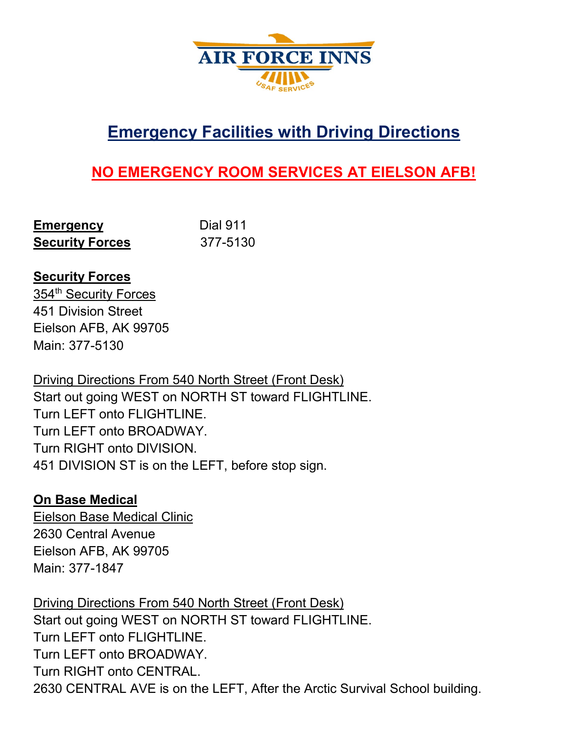

# **Emergency Facilities with Driving Directions**

# **NO EMERGENCY ROOM SERVICES AT EIELSON AFB!**

| <b>Emergency</b>       | <b>Dial 911</b> |
|------------------------|-----------------|
| <b>Security Forces</b> | 377-5130        |

## **Security Forces**

354<sup>th</sup> Security Forces 451 Division Street Eielson AFB, AK 99705 Main: 377-5130

Driving Directions From 540 North Street (Front Desk) Start out going WEST on NORTH ST toward FLIGHTLINE. Turn LEFT onto FLIGHTLINE. Turn LEFT onto BROADWAY. Turn RIGHT onto DIVISION. 451 DIVISION ST is on the LEFT, before stop sign.

#### **On Base Medical**

Eielson Base Medical Clinic 2630 Central Avenue Eielson AFB, AK 99705 Main: 377-1847

Driving Directions From 540 North Street (Front Desk) Start out going WEST on NORTH ST toward FLIGHTLINE. Turn LEFT onto FLIGHTLINE. Turn LEFT onto BROADWAY. Turn RIGHT onto CENTRAL. 2630 CENTRAL AVE is on the LEFT, After the Arctic Survival School building.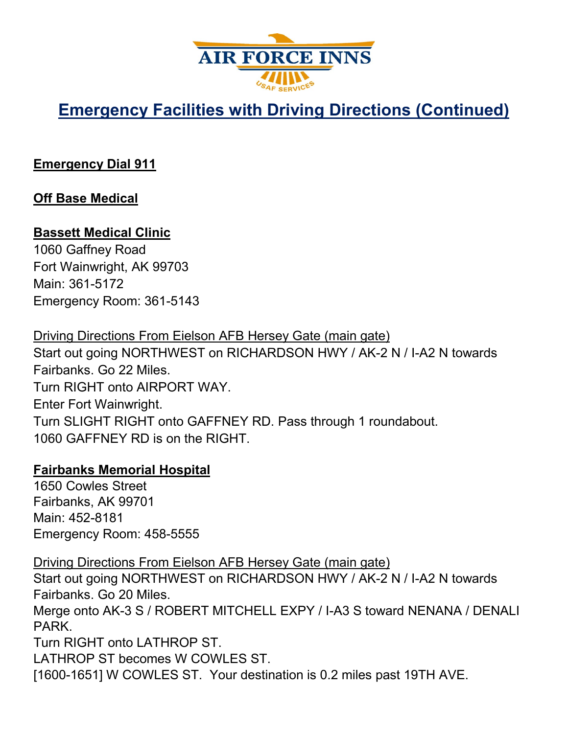

# **Emergency Facilities with Driving Directions (Continued)**

# **Emergency Dial 911**

# **Off Base Medical**

## **Bassett Medical Clinic**

1060 Gaffney Road Fort Wainwright, AK 99703 Main: 361-5172 Emergency Room: 361-5143

Driving Directions From Eielson AFB Hersey Gate (main gate) Start out going NORTHWEST on RICHARDSON HWY / AK-2 N / I-A2 N towards Fairbanks. Go 22 Miles. Turn RIGHT onto AIRPORT WAY. Enter Fort Wainwright. Turn SLIGHT RIGHT onto GAFFNEY RD. Pass through 1 roundabout. 1060 GAFFNEY RD is on the RIGHT.

#### **Fairbanks Memorial Hospital**

1650 Cowles Street Fairbanks, AK 99701 Main: 452-8181 Emergency Room: 458-5555

Driving Directions From Eielson AFB Hersey Gate (main gate)

Start out going NORTHWEST on RICHARDSON HWY / AK-2 N / I-A2 N towards Fairbanks. Go 20 Miles.

Merge onto AK-3 S / ROBERT MITCHELL EXPY / I-A3 S toward NENANA / DENALI PARK.

Turn RIGHT onto LATHROP ST.

LATHROP ST becomes W COWLES ST.

[1600-1651] W COWLES ST. Your destination is 0.2 miles past 19TH AVE.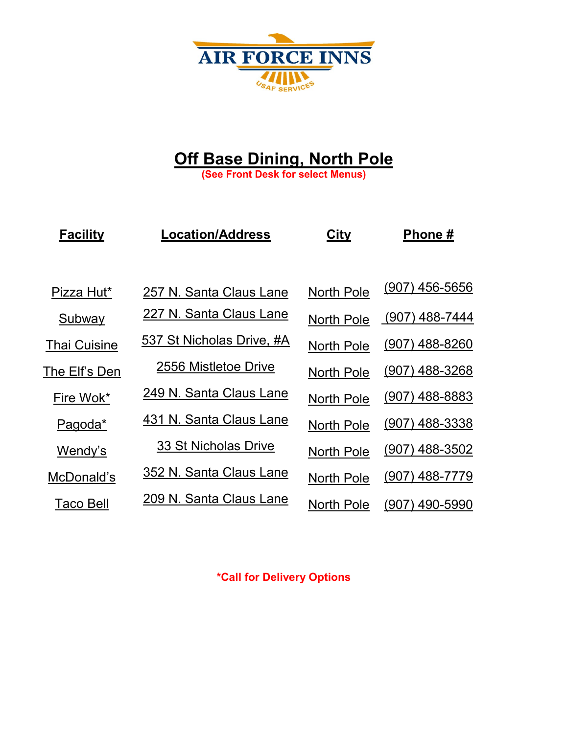

# **Off Base Dining, North Pole**

**(See Front Desk for select Menus)**

| <b>Facility</b>     | <b>Location/Address</b>   | <b>City</b>       | Phone#           |
|---------------------|---------------------------|-------------------|------------------|
|                     |                           |                   |                  |
| Pizza Hut*          | 257 N. Santa Claus Lane   | <b>North Pole</b> | $(907)$ 456-5656 |
| Subway              | 227 N. Santa Claus Lane   | <b>North Pole</b> | (907) 488-7444   |
| <b>Thai Cuisine</b> | 537 St Nicholas Drive, #A | <b>North Pole</b> | $(907)$ 488-8260 |
| The Elf's Den       | 2556 Mistletoe Drive      | <b>North Pole</b> | $(907)$ 488-3268 |
| Fire Wok*           | 249 N. Santa Claus Lane   | <b>North Pole</b> | $(907)$ 488-8883 |
| Pagoda*             | 431 N. Santa Claus Lane   | <b>North Pole</b> | $(907)$ 488-3338 |
| Wendy's             | 33 St Nicholas Drive      | <b>North Pole</b> | $(907)$ 488-3502 |
| McDonald's          | 352 N. Santa Claus Lane   | <b>North Pole</b> | $(907)$ 488-7779 |
| Taco Bell           | 209 N. Santa Claus Lane   | <b>North Pole</b> | (907) 490-5990   |

**\*Call for Delivery Options**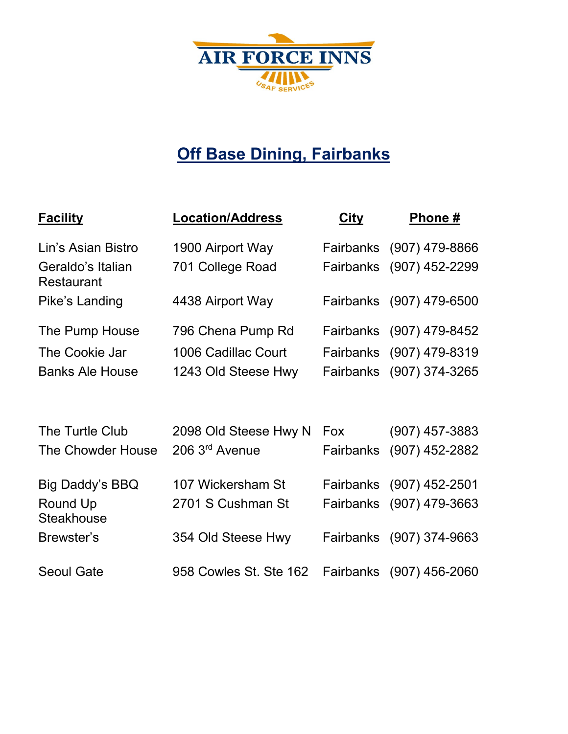

# **Off Base Dining, Fairbanks**

| <b>Facility</b>                        | <b>Location/Address</b>    | <b>City</b>      | Phone #                  |
|----------------------------------------|----------------------------|------------------|--------------------------|
| Lin's Asian Bistro                     | 1900 Airport Way           |                  | Fairbanks (907) 479-8866 |
| Geraldo's Italian<br><b>Restaurant</b> | 701 College Road           |                  | Fairbanks (907) 452-2299 |
| Pike's Landing                         | 4438 Airport Way           |                  | Fairbanks (907) 479-6500 |
| The Pump House                         | 796 Chena Pump Rd          |                  | Fairbanks (907) 479-8452 |
| The Cookie Jar                         | 1006 Cadillac Court        |                  | Fairbanks (907) 479-8319 |
| <b>Banks Ale House</b>                 | 1243 Old Steese Hwy        |                  | Fairbanks (907) 374-3265 |
|                                        |                            |                  |                          |
| The Turtle Club                        | 2098 Old Steese Hwy N      | Fox              | $(907)$ 457-3883         |
| The Chowder House                      | 206 3 <sup>rd</sup> Avenue | <b>Fairbanks</b> | $(907)$ 452-2882         |
| <b>Big Daddy's BBQ</b>                 | 107 Wickersham St          |                  | Fairbanks (907) 452-2501 |
| Round Up<br><b>Steakhouse</b>          | 2701 S Cushman St          |                  | Fairbanks (907) 479-3663 |
| Brewster's                             | 354 Old Steese Hwy         | Fairbanks        | (907) 374-9663           |
| <b>Seoul Gate</b>                      | 958 Cowles St. Ste 162     |                  | Fairbanks (907) 456-2060 |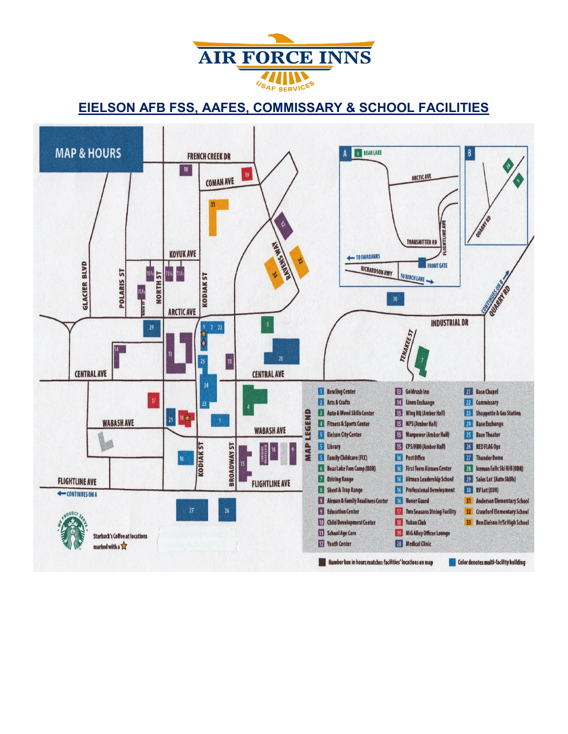

#### **EIELSON AFB FSS, AAFES, COMMISSARY & SCHOOL FACILITIES**

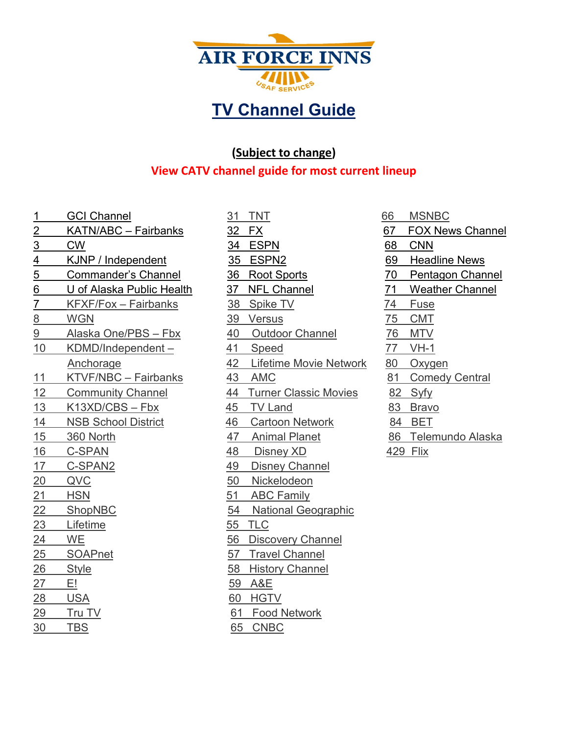

# **TV Channel Guide**

#### **(Subject to change)**

#### **View CATV channel guide for most current lineup**

- 17 C-SPAN2 49 Disney Channel 20 QVC 50 Nickelodeon 21 HSN 51 ABC Family 23 Lifetime 55 TLC 24 WE 56 Discovery Channel 25 SOAPnet 57 Travel Channel 26 Style 58 History Channel 27 E! 59 A&E 28 USA 60 HGTV 29 Tru TV 61 Food Network 30 TBS 65 CNBC
- 1 GCI Channel 31 TNT 66 MSNBC 2 KATN/ABC – Fairbanks 32 FX 67 FOX News Channel 3 CW 34 ESPN 68 CNN 4 KJNP / Independent 35 ESPN2 69 Headline News 5 Commander's Channel 36 Root Sports 70 Pentagon Channel 6 U of Alaska Public Health 37 NFL Channel 71 Weather Channel 7 KFXF/Fox – Fairbanks 38 Spike TV 74 Fuse 8 WGN 39 Versus 75 CMT 9 Alaska One/PBS – Fbx 40 Outdoor Channel 76 MTV 10 KDMD/Independent – 41 Speed 77 VH-1 Anchorage 42 Lifetime Movie Network 80 Oxygen 11 KTVF/NBC – Fairbanks 43 AMC 81 Comedy Central 12 Community Channel 44 Turner Classic Movies 82 Syfy 13 K13XD/CBS – Fbx 45 TV Land 83 Bravo 14 NSB School District 46 Cartoon Network 84 BET 15 360 North 47 Animal Planet 86 Telemundo Alaska 16 C-SPAN 48 Disney XD 429 Flix 22 ShopNBC 54 National Geographic
	-